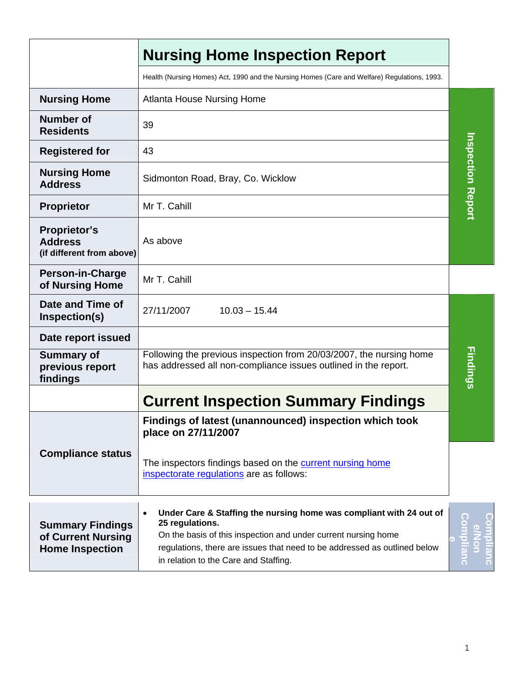|                                                                         | <b>Nursing Home Inspection Report</b>                                                                                                                                                                                                                                                       |                          |  |
|-------------------------------------------------------------------------|---------------------------------------------------------------------------------------------------------------------------------------------------------------------------------------------------------------------------------------------------------------------------------------------|--------------------------|--|
|                                                                         | Health (Nursing Homes) Act, 1990 and the Nursing Homes (Care and Welfare) Regulations, 1993.                                                                                                                                                                                                |                          |  |
| <b>Nursing Home</b>                                                     | <b>Atlanta House Nursing Home</b>                                                                                                                                                                                                                                                           |                          |  |
| <b>Number of</b><br><b>Residents</b>                                    | 39                                                                                                                                                                                                                                                                                          |                          |  |
| <b>Registered for</b>                                                   | 43                                                                                                                                                                                                                                                                                          |                          |  |
| <b>Nursing Home</b><br><b>Address</b>                                   | Sidmonton Road, Bray, Co. Wicklow                                                                                                                                                                                                                                                           | <b>Inspection Report</b> |  |
| <b>Proprietor</b>                                                       | Mr T. Cahill                                                                                                                                                                                                                                                                                |                          |  |
| <b>Proprietor's</b><br><b>Address</b><br>(if different from above)      | As above                                                                                                                                                                                                                                                                                    |                          |  |
| <b>Person-in-Charge</b><br>of Nursing Home                              | Mr T. Cahill                                                                                                                                                                                                                                                                                |                          |  |
| Date and Time of<br>Inspection(s)                                       | $10.03 - 15.44$<br>27/11/2007                                                                                                                                                                                                                                                               |                          |  |
| Date report issued                                                      |                                                                                                                                                                                                                                                                                             |                          |  |
| <b>Summary of</b><br>previous report<br>findings                        | Following the previous inspection from 20/03/2007, the nursing home<br>has addressed all non-compliance issues outlined in the report.                                                                                                                                                      | Findings                 |  |
|                                                                         | <b>Current Inspection Summary Findings</b>                                                                                                                                                                                                                                                  |                          |  |
|                                                                         | Findings of latest (unannounced) inspection which took<br>place on 27/11/2007                                                                                                                                                                                                               |                          |  |
| <b>Compliance status</b>                                                | The inspectors findings based on the current nursing home<br>inspectorate regulations are as follows:                                                                                                                                                                                       |                          |  |
| <b>Summary Findings</b><br>of Current Nursing<br><b>Home Inspection</b> | Under Care & Staffing the nursing home was compliant with 24 out of<br>$\bullet$<br>25 regulations.<br>On the basis of this inspection and under current nursing home<br>regulations, there are issues that need to be addressed as outlined below<br>in relation to the Care and Staffing. |                          |  |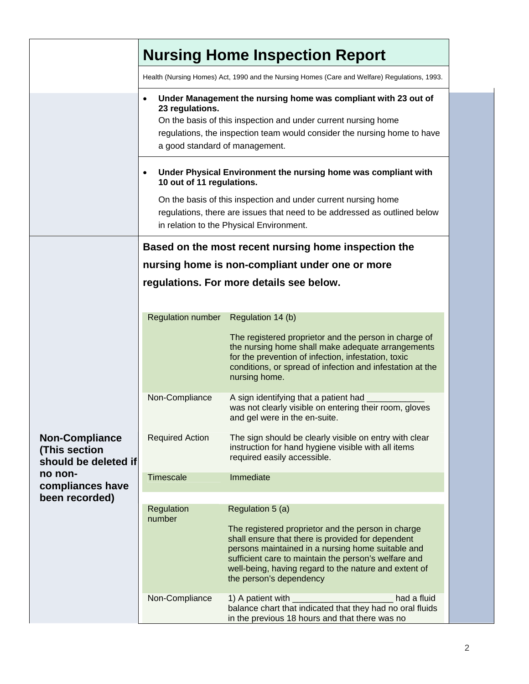|                                                                | <b>Nursing Home Inspection Report</b>                                                                                                                                                                                                                                                       |                                                                                                                                                                                                                                                                                                          |  |  |
|----------------------------------------------------------------|---------------------------------------------------------------------------------------------------------------------------------------------------------------------------------------------------------------------------------------------------------------------------------------------|----------------------------------------------------------------------------------------------------------------------------------------------------------------------------------------------------------------------------------------------------------------------------------------------------------|--|--|
|                                                                | Health (Nursing Homes) Act, 1990 and the Nursing Homes (Care and Welfare) Regulations, 1993.                                                                                                                                                                                                |                                                                                                                                                                                                                                                                                                          |  |  |
|                                                                | Under Management the nursing home was compliant with 23 out of<br>23 regulations.<br>On the basis of this inspection and under current nursing home<br>regulations, the inspection team would consider the nursing home to have                                                             |                                                                                                                                                                                                                                                                                                          |  |  |
|                                                                | a good standard of management.                                                                                                                                                                                                                                                              |                                                                                                                                                                                                                                                                                                          |  |  |
|                                                                | Under Physical Environment the nursing home was compliant with<br>٠<br>10 out of 11 regulations.<br>On the basis of this inspection and under current nursing home<br>regulations, there are issues that need to be addressed as outlined below<br>in relation to the Physical Environment. |                                                                                                                                                                                                                                                                                                          |  |  |
|                                                                | Based on the most recent nursing home inspection the                                                                                                                                                                                                                                        |                                                                                                                                                                                                                                                                                                          |  |  |
|                                                                | nursing home is non-compliant under one or more                                                                                                                                                                                                                                             |                                                                                                                                                                                                                                                                                                          |  |  |
|                                                                | regulations. For more details see below.                                                                                                                                                                                                                                                    |                                                                                                                                                                                                                                                                                                          |  |  |
|                                                                |                                                                                                                                                                                                                                                                                             |                                                                                                                                                                                                                                                                                                          |  |  |
|                                                                | <b>Regulation number</b>                                                                                                                                                                                                                                                                    | Regulation 14 (b)                                                                                                                                                                                                                                                                                        |  |  |
|                                                                |                                                                                                                                                                                                                                                                                             | The registered proprietor and the person in charge of<br>the nursing home shall make adequate arrangements<br>for the prevention of infection, infestation, toxic<br>conditions, or spread of infection and infestation at the<br>nursing home.                                                          |  |  |
| <b>Non-Compliance</b><br>(This section<br>should be deleted if | Non-Compliance                                                                                                                                                                                                                                                                              | A sign identifying that a patient had<br>was not clearly visible on entering their room, gloves<br>and gel were in the en-suite.                                                                                                                                                                         |  |  |
|                                                                | <b>Required Action</b>                                                                                                                                                                                                                                                                      | The sign should be clearly visible on entry with clear<br>instruction for hand hygiene visible with all items<br>required easily accessible.                                                                                                                                                             |  |  |
| no non-<br>compliances have                                    | <b>Timescale</b>                                                                                                                                                                                                                                                                            | Immediate                                                                                                                                                                                                                                                                                                |  |  |
| been recorded)                                                 | Regulation<br>number                                                                                                                                                                                                                                                                        | Regulation 5 (a)                                                                                                                                                                                                                                                                                         |  |  |
|                                                                |                                                                                                                                                                                                                                                                                             | The registered proprietor and the person in charge<br>shall ensure that there is provided for dependent<br>persons maintained in a nursing home suitable and<br>sufficient care to maintain the person's welfare and<br>well-being, having regard to the nature and extent of<br>the person's dependency |  |  |
|                                                                | Non-Compliance                                                                                                                                                                                                                                                                              | 1) A patient with<br>had a fluid<br>balance chart that indicated that they had no oral fluids<br>in the previous 18 hours and that there was no                                                                                                                                                          |  |  |